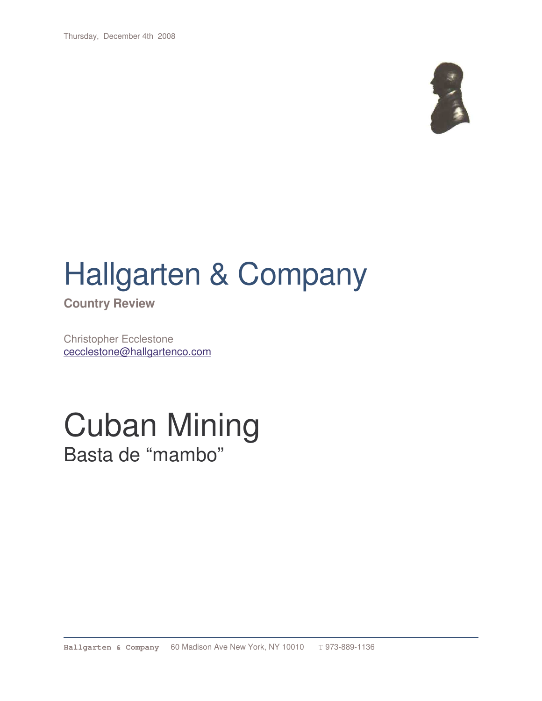Thursday, December 4th 2008



# Hallgarten & Company

**Country Review**

Christopher Ecclestone cecclestone@hallgartenco.com

### Cuban Mining Basta de "mambo"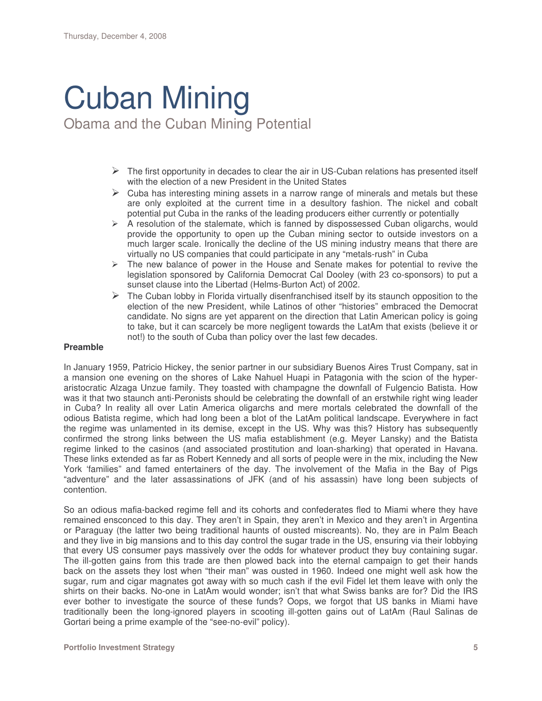## Cuban Mining

Obama and the Cuban Mining Potential

- $\triangleright$  The first opportunity in decades to clear the air in US-Cuban relations has presented itself with the election of a new President in the United States
- $\triangleright$  Cuba has interesting mining assets in a narrow range of minerals and metals but these are only exploited at the current time in a desultory fashion. The nickel and cobalt potential put Cuba in the ranks of the leading producers either currently or potentially
- $\triangleright$  A resolution of the stalemate, which is fanned by dispossessed Cuban oligarchs, would provide the opportunity to open up the Cuban mining sector to outside investors on a much larger scale. Ironically the decline of the US mining industry means that there are virtually no US companies that could participate in any "metals-rush" in Cuba
- $\triangleright$  The new balance of power in the House and Senate makes for potential to revive the legislation sponsored by California Democrat Cal Dooley (with 23 co-sponsors) to put a sunset clause into the Libertad (Helms-Burton Act) of 2002.
- $\triangleright$  The Cuban lobby in Florida virtually disenfranchised itself by its staunch opposition to the election of the new President, while Latinos of other "histories" embraced the Democrat candidate. No signs are yet apparent on the direction that Latin American policy is going to take, but it can scarcely be more negligent towards the LatAm that exists (believe it or not!) to the south of Cuba than policy over the last few decades.

#### **Preamble**

In January 1959, Patricio Hickey, the senior partner in our subsidiary Buenos Aires Trust Company, sat in a mansion one evening on the shores of Lake Nahuel Huapi in Patagonia with the scion of the hyperaristocratic Alzaga Unzue family. They toasted with champagne the downfall of Fulgencio Batista. How was it that two staunch anti-Peronists should be celebrating the downfall of an erstwhile right wing leader in Cuba? In reality all over Latin America oligarchs and mere mortals celebrated the downfall of the odious Batista regime, which had long been a blot of the LatAm political landscape. Everywhere in fact the regime was unlamented in its demise, except in the US. Why was this? History has subsequently confirmed the strong links between the US mafia establishment (e.g. Meyer Lansky) and the Batista regime linked to the casinos (and associated prostitution and loan-sharking) that operated in Havana. These links extended as far as Robert Kennedy and all sorts of people were in the mix, including the New York 'families" and famed entertainers of the day. The involvement of the Mafia in the Bay of Pigs "adventure" and the later assassinations of JFK (and of his assassin) have long been subjects of contention.

So an odious mafia-backed regime fell and its cohorts and confederates fled to Miami where they have remained ensconced to this day. They aren't in Spain, they aren't in Mexico and they aren't in Argentina or Paraguay (the latter two being traditional haunts of ousted miscreants). No, they are in Palm Beach and they live in big mansions and to this day control the sugar trade in the US, ensuring via their lobbying that every US consumer pays massively over the odds for whatever product they buy containing sugar. The ill-gotten gains from this trade are then plowed back into the eternal campaign to get their hands back on the assets they lost when "their man" was ousted in 1960. Indeed one might well ask how the sugar, rum and cigar magnates got away with so much cash if the evil Fidel let them leave with only the shirts on their backs. No-one in LatAm would wonder; isn't that what Swiss banks are for? Did the IRS ever bother to investigate the source of these funds? Oops, we forgot that US banks in Miami have traditionally been the long-ignored players in scooting ill-gotten gains out of LatAm (Raul Salinas de Gortari being a prime example of the "see-no-evil" policy).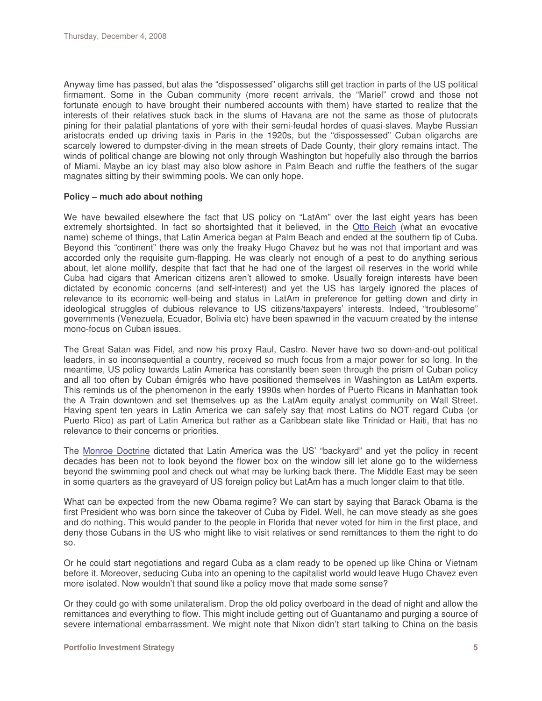Anyway time has passed, but alas the "dispossessed" oligarchs still get traction in parts of the US political firmament. Some in the Cuban community (more recent arrivals, the "Mariel" crowd and those not fortunate enough to have brought their numbered accounts with them) have started to realize that the interests of their relatives stuck back in the slums of Havana are not the same as those of plutocrats pining for their palatial plantations of yore with their semi-feudal hordes of quasi-slaves. Maybe Russian aristocrats ended up driving taxis in Paris in the 1920s, but the "dispossessed" Cuban oligarchs are scarcely lowered to dumpster-diving in the mean streets of Dade County, their glory remains intact. The winds of political change are blowing not only through Washington but hopefully also through the barrios of Miami. Maybe an icy blast may also blow ashore in Palm Beach and ruffle the feathers of the sugar magnates sitting by their swimming pools. We can only hope.

#### **Policy – much ado about nothing**

We have bewailed elsewhere the fact that US policy on "LatAm" over the last eight years has been extremely shortsighted. In fact so shortsighted that it believed, in the Otto Reich (what an evocative name) scheme of things, that Latin America began at Palm Beach and ended at the southern tip of Cuba. Beyond this "continent" there was only the freaky Hugo Chavez but he was not that important and was accorded only the requisite gum-flapping. He was clearly not enough of a pest to do anything serious about, let alone mollify, despite that fact that he had one of the largest oil reserves in the world while Cuba had cigars that American citizens aren't allowed to smoke. Usually foreign interests have been dictated by economic concerns (and self-interest) and yet the US has largely ignored the places of relevance to its economic well-being and status in LatAm in preference for getting down and dirty in ideological struggles of dubious relevance to US citizens/taxpayers' interests. Indeed, "troublesome" governments (Venezuela, Ecuador, Bolivia etc) have been spawned in the vacuum created by the intense mono-focus on Cuban issues.

The Great Satan was Fidel, and now his proxy Raul, Castro. Never have two so down-and-out political leaders, in so inconsequential a country, received so much focus from a major power for so long. In the meantime, US policy towards Latin America has constantly been seen through the prism of Cuban policy and all too often by Cuban émigrés who have positioned themselves in Washington as LatAm experts. This reminds us of the phenomenon in the early 1990s when hordes of Puerto Ricans in Manhattan took the A Train downtown and set themselves up as the LatAm equity analyst community on Wall Street. Having spent ten years in Latin America we can safely say that most Latins do NOT regard Cuba (or Puerto Rico) as part of Latin America but rather as a Caribbean state like Trinidad or Haiti, that has no relevance to their concerns or priorities.

The Monroe Doctrine dictated that Latin America was the US' "backyard" and yet the policy in recent decades has been not to look beyond the flower box on the window sill let alone go to the wilderness beyond the swimming pool and check out what may be lurking back there. The Middle East may be seen in some quarters as the graveyard of US foreign policy but LatAm has a much longer claim to that title.

What can be expected from the new Obama regime? We can start by saying that Barack Obama is the first President who was born since the takeover of Cuba by Fidel. Well, he can move steady as she goes and do nothing. This would pander to the people in Florida that never voted for him in the first place, and deny those Cubans in the US who might like to visit relatives or send remittances to them the right to do so.

Or he could start negotiations and regard Cuba as a clam ready to be opened up like China or Vietnam before it. Moreover, seducing Cuba into an opening to the capitalist world would leave Hugo Chavez even more isolated. Now wouldn't that sound like a policy move that made some sense?

Or they could go with some unilateralism. Drop the old policy overboard in the dead of night and allow the remittances and everything to flow. This might include getting out of Guantanamo and purging a source of severe international embarrassment. We might note that Nixon didn't start talking to China on the basis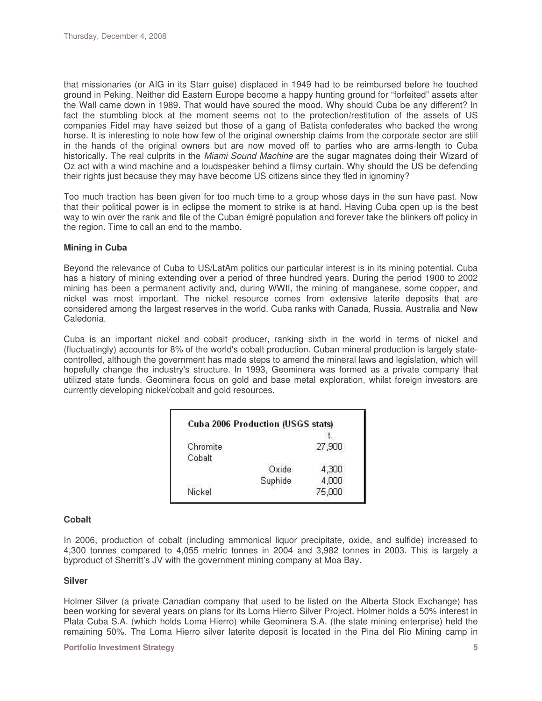that missionaries (or AIG in its Starr guise) displaced in 1949 had to be reimbursed before he touched ground in Peking. Neither did Eastern Europe become a happy hunting ground for "forfeited" assets after the Wall came down in 1989. That would have soured the mood. Why should Cuba be any different? In fact the stumbling block at the moment seems not to the protection/restitution of the assets of US companies Fidel may have seized but those of a gang of Batista confederates who backed the wrong horse. It is interesting to note how few of the original ownership claims from the corporate sector are still in the hands of the original owners but are now moved off to parties who are arms-length to Cuba historically. The real culprits in the *Miami Sound Machine* are the sugar magnates doing their Wizard of Oz act with a wind machine and a loudspeaker behind a flimsy curtain. Why should the US be defending their rights just because they may have become US citizens since they fled in ignominy?

Too much traction has been given for too much time to a group whose days in the sun have past. Now that their political power is in eclipse the moment to strike is at hand. Having Cuba open up is the best way to win over the rank and file of the Cuban émigré population and forever take the blinkers off policy in the region. Time to call an end to the mambo.

#### **Mining in Cuba**

Beyond the relevance of Cuba to US/LatAm politics our particular interest is in its mining potential. Cuba has a history of mining extending over a period of three hundred years. During the period 1900 to 2002 mining has been a permanent activity and, during WWII, the mining of manganese, some copper, and nickel was most important. The nickel resource comes from extensive laterite deposits that are considered among the largest reserves in the world. Cuba ranks with Canada, Russia, Australia and New Caledonia.

Cuba is an important nickel and cobalt producer, ranking sixth in the world in terms of nickel and (fluctuatingly) accounts for 8% of the world's cobalt production. Cuban mineral production is largely statecontrolled, although the government has made steps to amend the mineral laws and legislation, which will hopefully change the industry's structure. In 1993, Geominera was formed as a private company that utilized state funds. Geominera focus on gold and base metal exploration, whilst foreign investors are currently developing nickel/cobalt and gold resources.

| Chromite | 27,900 |
|----------|--------|
| Cobalt   |        |
| Oxide    | 4,300  |
| Suphide  | 4,000  |
| Nickel   | 75,000 |

#### **Cobalt**

In 2006, production of cobalt (including ammonical liquor precipitate, oxide, and sulfide) increased to 4,300 tonnes compared to 4,055 metric tonnes in 2004 and 3,982 tonnes in 2003. This is largely a byproduct of Sherritt's JV with the government mining company at Moa Bay.

#### **Silver**

Holmer Silver (a private Canadian company that used to be listed on the Alberta Stock Exchange) has been working for several years on plans for its Loma Hierro Silver Project. Holmer holds a 50% interest in Plata Cuba S.A. (which holds Loma Hierro) while Geominera S.A. (the state mining enterprise) held the remaining 50%. The Loma Hierro silver laterite deposit is located in the Pina del Rio Mining camp in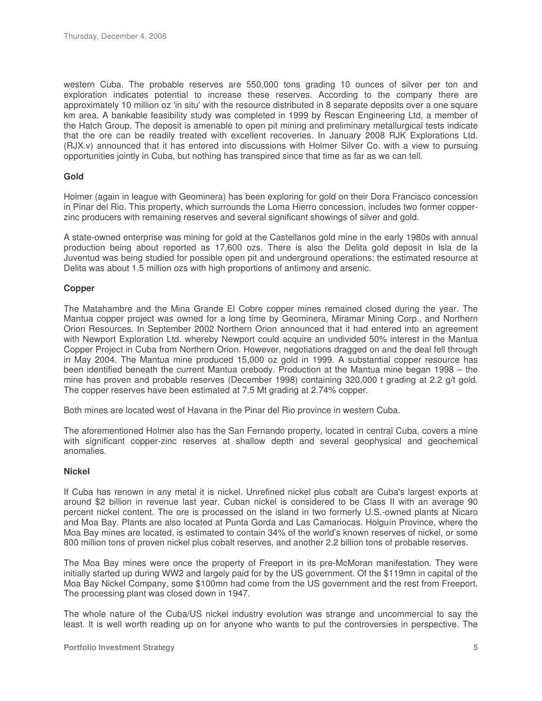western Cuba. The probable reserves are 550,000 tons grading 10 ounces of silver per ton and exploration indicates potential to increase these reserves. According to the company there are approximately 10 million oz 'in situ'with the resource distributed in 8 separate deposits over a one square km area. A bankable feasibility study was completed in 1999 by Rescan Engineering Ltd, a member of the Hatch Group. The deposit is amenable to open pit mining and preliminary metallurgical tests indicate that the ore can be readily treated with excellent recoveries. In January 2008 RJK Explorations Ltd. (RJX.v) announced that it has entered into discussions with Holmer Silver Co. with a view to pursuing opportunities jointly in Cuba, but nothing has transpired since that time as far as we can tell.

#### **Gold**

Holmer (again in league with Geominera) has been exploring for gold on their Dora Francisco concession in Pinar del Rio. This property, which surrounds the Loma Hierro concession, includes two former copperzinc producers with remaining reserves and several significant showings of silver and gold.

A state-owned enterprise was mining for gold at the Castellanos gold mine in the early 1980s with annual production being about reported as 17,600 ozs. There is also the Delita gold deposit in Isla de la Juventud was being studied for possible open pit and underground operations; the estimated resource at Delita was about 1.5 million ozs with high proportions of antimony and arsenic.

#### **Copper**

The Matahambre and the Mina Grande El Cobre copper mines remained closed during the year. The Mantua copper project was owned for a long time by Geominera, Miramar Mining Corp., and Northern Orion Resources. In September 2002 Northern Orion announced that it had entered into an agreement with Newport Exploration Ltd. whereby Newport could acquire an undivided 50% interest in the Mantua Copper Project in Cuba from Northern Orion. However, negotiations dragged on and the deal fell through in May 2004. The Mantua mine produced 15,000 oz gold in 1999. A substantial copper resource has been identified beneath the current Mantua orebody. Production at the Mantua mine began 1998 – the mine has proven and probable reserves (December 1998) containing 320,000 t grading at 2.2 g/t gold. The copper reserves have been estimated at 7.5 Mt grading at 2.74% copper.

Both mines are located west of Havana in the Pinar del Rio province in western Cuba.

The aforementioned Holmer also has the San Fernando property, located in central Cuba, covers a mine with significant copper-zinc reserves at shallow depth and several geophysical and geochemical anomalies.

#### **Nickel**

If Cuba has renown in any metal it is nickel. Unrefined nickel plus cobalt are Cuba's largest exports at around \$2 billion in revenue last year. Cuban nickel is considered to be Class II with an average 90 percent nickel content. The ore is processed on the island in two formerly U.S.-owned plants at Nicaro and Moa Bay. Plants are also located at Punta Gorda and Las Camariocas. Holguín Province, where the Moa Bay mines are located, is estimated to contain 34% of the world's known reserves of nickel, or some 800 million tons of proven nickel plus cobalt reserves, and another 2.2 billion tons of probable reserves.

The Moa Bay mines were once the property of Freeport in its pre-McMoran manifestation. They were initially started up during WW2 and largely paid for by the US government. Of the \$119mn in capital of the Moa Bay Nickel Company, some \$100mn had come from the US government and the rest from Freeport. The processing plant was closed down in 1947.

The whole nature of the Cuba/US nickel industry evolution was strange and uncommercial to say the least. It is well worth reading up on for anyone who wants to put the controversies in perspective. The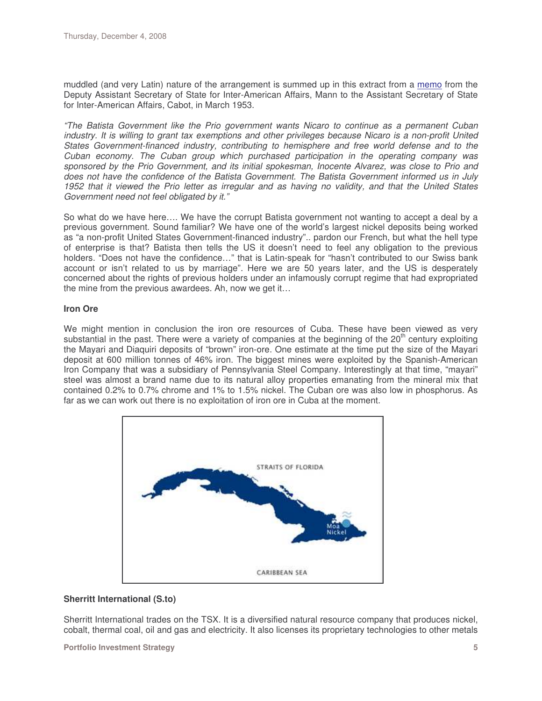muddled (and very Latin) nature of the arrangement is summed up in this extract from a memo from the Deputy Assistant Secretary of State for Inter-American Affairs, Mann to the Assistant Secretary of State for Inter-American Affairs, Cabot, in March 1953.

*"The Batista Government like the Prio government wants Nicaro to continue as a permanent Cuban* industry. It is willing to grant tax exemptions and other privileges because Nicaro is a non-profit United *States Government-financed industry, contributing to hemisphere and free world defense and to the Cuban economy. The Cuban group which purchased participation in the operating company was sponsored by the Prio Government, and its initial spokesman, Inocente Alvarez, was close to Prio and does not have the confidence of the Batista Government. The Batista Government informed us in July* 1952 that it viewed the Prio letter as irregular and as having no validity, and that the United States *Government need not feel obligated by it."*

So what do we have here…. We have the corrupt Batista government not wanting to accept a deal by a previous government. Sound familiar? We have one of the world's largest nickel deposits being worked as "a non-profit United States Government-financed industry".. pardon our French, but what the hell type of enterprise is that? Batista then tells the US it doesn't need to feel any obligation to the previous holders. "Does not have the confidence…" that is Latin-speak for "hasn't contributed to our Swiss bank account or isn't related to us by marriage". Here we are 50 years later, and the US is desperately concerned about the rights of previous holders under an infamously corrupt regime that had expropriated the mine from the previous awardees. Ah, now we get it…

#### **Iron Ore**

We might mention in conclusion the iron ore resources of Cuba. These have been viewed as very substantial in the past. There were a variety of companies at the beginning of the 20<sup>th</sup> century exploiting the Mayari and Diaquiri deposits of "brown" iron-ore. One estimate at the time put the size of the Mayari deposit at 600 million tonnes of 46% iron. The biggest mines were exploited by the Spanish-American Iron Company that was a subsidiary of Pennsylvania Steel Company. Interestingly at that time, "mayari" steel was almost a brand name due to its natural alloy properties emanating from the mineral mix that contained 0.2% to 0.7% chrome and 1% to 1.5% nickel. The Cuban ore was also low in phosphorus. As far as we can work out there is no exploitation of iron ore in Cuba at the moment.



#### **Sherritt International (S.to)**

Sherritt International trades on the TSX. It is a diversified natural resource company that produces nickel, cobalt, thermal coal, oil and gas and electricity. It also licenses its proprietary technologies to other metals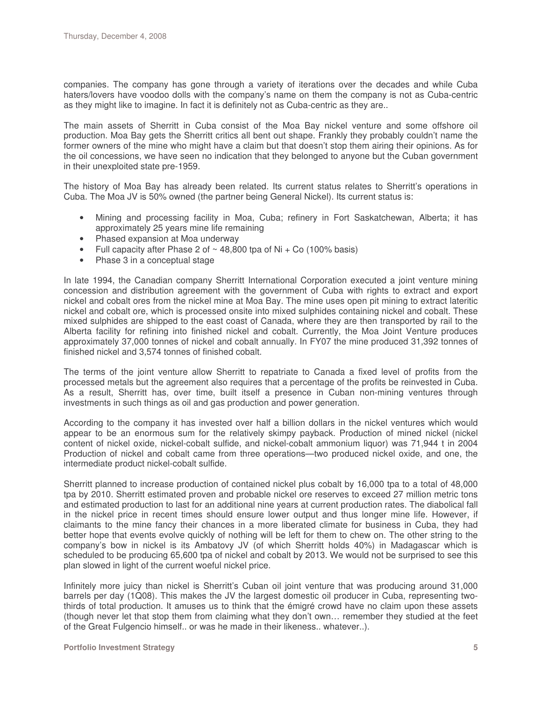companies. The company has gone through a variety of iterations over the decades and while Cuba haters/lovers have voodoo dolls with the company's name on them the company is not as Cuba-centric as they might like to imagine. In fact it is definitely not as Cuba-centric as they are..

The main assets of Sherritt in Cuba consist of the Moa Bay nickel venture and some offshore oil production. Moa Bay gets the Sherritt critics all bent out shape. Frankly they probably couldn't name the former owners of the mine who might have a claim but that doesn't stop them airing their opinions. As for the oil concessions, we have seen no indication that they belonged to anyone but the Cuban government in their unexploited state pre-1959.

The history of Moa Bay has already been related. Its current status relates to Sherritt's operations in Cuba. The Moa JV is 50% owned (the partner being General Nickel). Its current status is:

- Mining and processing facility in Moa, Cuba; refinery in Fort Saskatchewan, Alberta; it has approximately 25 years mine life remaining
- Phased expansion at Moa underway
- Full capacity after Phase 2 of  $\sim$  48,800 tpa of Ni + Co (100% basis)
- Phase 3 in a conceptual stage

In late 1994, the Canadian company Sherritt International Corporation executed a joint venture mining concession and distribution agreement with the government of Cuba with rights to extract and export nickel and cobalt ores from the nickel mine at Moa Bay. The mine uses open pit mining to extract lateritic nickel and cobalt ore, which is processed onsite into mixed sulphides containing nickel and cobalt. These mixed sulphides are shipped to the east coast of Canada, where they are then transported by rail to the Alberta facility for refining into finished nickel and cobalt. Currently, the Moa Joint Venture produces approximately 37,000 tonnes of nickel and cobalt annually. In FY07 the mine produced 31,392 tonnes of finished nickel and 3,574 tonnes of finished cobalt.

The terms of the joint venture allow Sherritt to repatriate to Canada a fixed level of profits from the processed metals but the agreement also requires that a percentage of the profits be reinvested in Cuba. As a result, Sherritt has, over time, built itself a presence in Cuban non-mining ventures through investments in such things as oil and gas production and power generation.

According to the company it has invested over half a billion dollars in the nickel ventures which would appear to be an enormous sum for the relatively skimpy payback. Production of mined nickel (nickel content of nickel oxide, nickel-cobalt sulfide, and nickel-cobalt ammonium liquor) was 71,944 t in 2004 Production of nickel and cobalt came from three operations—two produced nickel oxide, and one, the intermediate product nickel-cobalt sulfide.

Sherritt planned to increase production of contained nickel plus cobalt by 16,000 tpa to a total of 48,000 tpa by 2010. Sherritt estimated proven and probable nickel ore reserves to exceed 27 million metric tons and estimated production to last for an additional nine years at current production rates. The diabolical fall in the nickel price in recent times should ensure lower output and thus longer mine life. However, if claimants to the mine fancy their chances in a more liberated climate for business in Cuba, they had better hope that events evolve quickly of nothing will be left for them to chew on. The other string to the company's bow in nickel is its Ambatovy JV (of which Sherritt holds 40%) in Madagascar which is scheduled to be producing 65,600 tpa of nickel and cobalt by 2013. We would not be surprised to see this plan slowed in light of the current woeful nickel price.

Infinitely more juicy than nickel is Sherritt's Cuban oil joint venture that was producing around 31,000 barrels per day (1Q08). This makes the JV the largest domestic oil producer in Cuba, representing twothirds of total production. It amuses us to think that the émigré crowd have no claim upon these assets (though never let that stop them from claiming what they don't own… remember they studied at the feet of the Great Fulgencio himself.. or was he made in their likeness.. whatever..).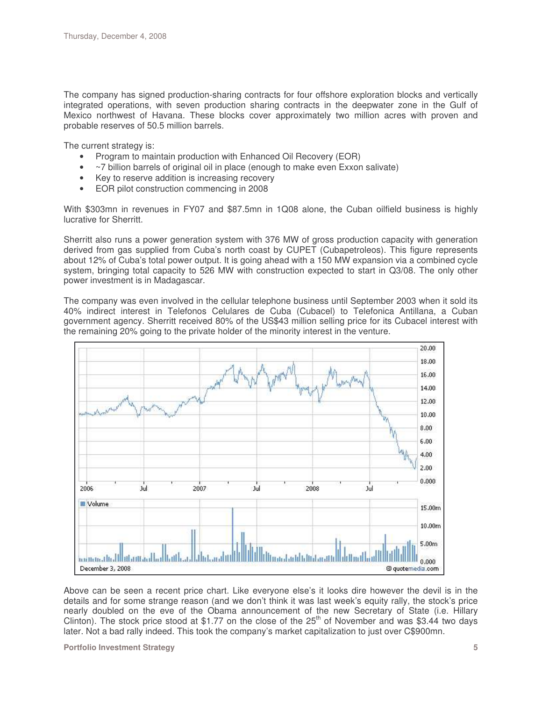The company has signed production-sharing contracts for four offshore exploration blocks and vertically integrated operations, with seven production sharing contracts in the deepwater zone in the Gulf of Mexico northwest of Havana. These blocks cover approximately two million acres with proven and probable reserves of 50.5 million barrels.

The current strategy is:

- Program to maintain production with Enhanced Oil Recovery (EOR)
- ~7 billion barrels of original oil in place (enough to make even Exxon salivate)
- Key to reserve addition is increasing recovery
- EOR pilot construction commencing in 2008

With \$303mn in revenues in FY07 and \$87.5mn in 1Q08 alone, the Cuban oilfield business is highly lucrative for Sherritt.

Sherritt also runs a power generation system with 376 MW of gross production capacity with generation derived from gas supplied from Cuba's north coast by CUPET (Cubapetroleos). This figure represents about 12% of Cuba's total power output. It is going ahead with a 150 MW expansion via a combined cycle system, bringing total capacity to 526 MW with construction expected to start in Q3/08. The only other power investment is in Madagascar.

The company was even involved in the cellular telephone business until September 2003 when it sold its 40% indirect interest in Telefonos Celulares de Cuba (Cubacel) to Telefonica Antillana, a Cuban government agency. Sherritt received 80% of the US\$43 million selling price for its Cubacel interest with the remaining 20% going to the private holder of the minority interest in the venture.



Above can be seen a recent price chart. Like everyone else's it looks dire however the devil is in the details and for some strange reason (and we don't think it was last week's equity rally, the stock's price nearly doubled on the eve of the Obama announcement of the new Secretary of State (i.e. Hillary Clinton). The stock price stood at \$1.77 on the close of the  $25<sup>th</sup>$  of November and was \$3.44 two days later. Not a bad rally indeed. This took the company's market capitalization to just over C\$900mn.

**Portfolio Investment Strategy 5**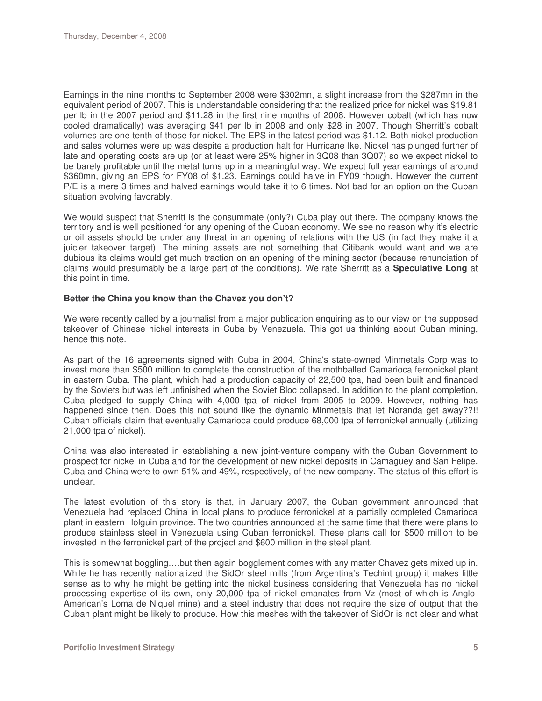Earnings in the nine months to September 2008 were \$302mn, a slight increase from the \$287mn in the equivalent period of 2007. This is understandable considering that the realized price for nickel was \$19.81 per lb in the 2007 period and \$11.28 in the first nine months of 2008. However cobalt (which has now cooled dramatically) was averaging \$41 per lb in 2008 and only \$28 in 2007. Though Sherritt's cobalt volumes are one tenth of those for nickel. The EPS in the latest period was \$1.12. Both nickel production and sales volumes were up was despite a production halt for Hurricane Ike. Nickel has plunged further of late and operating costs are up (or at least were 25% higher in 3Q08 than 3Q07) so we expect nickel to be barely profitable until the metal turns up in a meaningful way. We expect full year earnings of around \$360mn, giving an EPS for FY08 of \$1.23. Earnings could halve in FY09 though. However the current P/E is a mere 3 times and halved earnings would take it to 6 times. Not bad for an option on the Cuban situation evolving favorably.

We would suspect that Sherritt is the consummate (only?) Cuba play out there. The company knows the territory and is well positioned for any opening of the Cuban economy. We see no reason why it's electric or oil assets should be under any threat in an opening of relations with the US (in fact they make it a juicier takeover target). The mining assets are not something that Citibank would want and we are dubious its claims would get much traction on an opening of the mining sector (because renunciation of claims would presumably be a large part of the conditions). We rate Sherritt as a **Speculative Long** at this point in time.

#### **Better the China you know than the Chavez you don't?**

We were recently called by a journalist from a major publication enquiring as to our view on the supposed takeover of Chinese nickel interests in Cuba by Venezuela. This got us thinking about Cuban mining, hence this note.

As part of the 16 agreements signed with Cuba in 2004, China's state-owned Minmetals Corp was to invest more than \$500 million to complete the construction of the mothballed Camarioca ferronickel plant in eastern Cuba. The plant, which had a production capacity of 22,500 tpa, had been built and financed by the Soviets but was left unfinished when the Soviet Bloc collapsed. In addition to the plant completion, Cuba pledged to supply China with 4,000 tpa of nickel from 2005 to 2009. However, nothing has happened since then. Does this not sound like the dynamic Minmetals that let Noranda get away??!! Cuban officials claim that eventually Camarioca could produce 68,000 tpa of ferronickel annually (utilizing 21,000 tpa of nickel).

China was also interested in establishing a new joint-venture company with the Cuban Government to prospect for nickel in Cuba and for the development of new nickel deposits in Camaguey and San Felipe. Cuba and China were to own 51% and 49%, respectively, of the new company. The status of this effort is unclear.

The latest evolution of this story is that, in January 2007, the Cuban government announced that Venezuela had replaced China in local plans to produce ferronickel at a partially completed Camarioca plant in eastern Holguin province. The two countries announced at the same time that there were plans to produce stainless steel in Venezuela using Cuban ferronickel. These plans call for \$500 million to be invested in the ferronickel part of the project and \$600 million in the steel plant.

This is somewhat boggling….but then again bogglement comes with any matter Chavez gets mixed up in. While he has recently nationalized the SidOr steel mills (from Argentina's Techint group) it makes little sense as to why he might be getting into the nickel business considering that Venezuela has no nickel processing expertise of its own, only 20,000 tpa of nickel emanates from Vz (most of which is Anglo-American's Loma de Niquel mine) and a steel industry that does not require the size of output that the Cuban plant might be likely to produce. How this meshes with the takeover of SidOr is not clear and what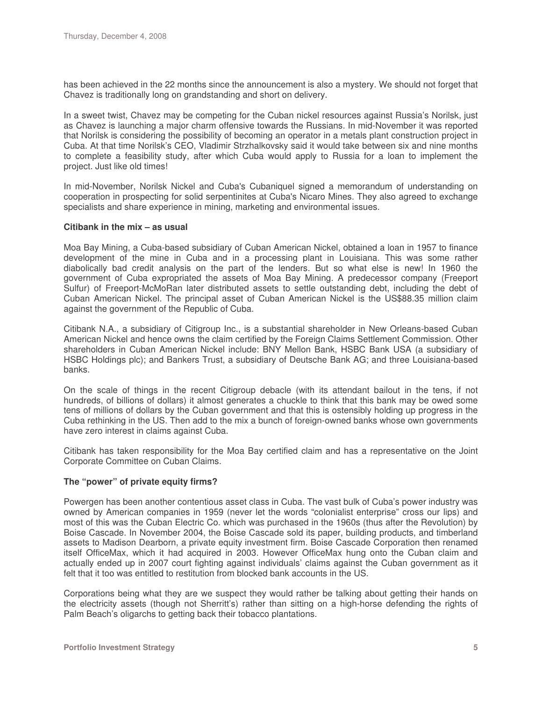has been achieved in the 22 months since the announcement is also a mystery. We should not forget that Chavez is traditionally long on grandstanding and short on delivery.

In a sweet twist, Chavez may be competing for the Cuban nickel resources against Russia's Norilsk, just as Chavez is launching a major charm offensive towards the Russians. In mid-November it was reported that Norilsk is considering the possibility of becoming an operator in a metals plant construction project in Cuba. At that time Norilsk's CEO, Vladimir Strzhalkovsky said it would take between six and nine months to complete a feasibility study, after which Cuba would apply to Russia for a loan to implement the project. Just like old times!

In mid-November, Norilsk Nickel and Cuba's Cubaniquel signed a memorandum of understanding on cooperation in prospecting for solid serpentinites at Cuba's Nicaro Mines. They also agreed to exchange specialists and share experience in mining, marketing and environmental issues.

#### **Citibank in the mix – as usual**

Moa Bay Mining, a Cuba-based subsidiary of Cuban American Nickel, obtained a loan in 1957 to finance development of the mine in Cuba and in a processing plant in Louisiana. This was some rather diabolically bad credit analysis on the part of the lenders. But so what else is new! In 1960 the government of Cuba expropriated the assets of Moa Bay Mining. A predecessor company (Freeport Sulfur) of Freeport-McMoRan later distributed assets to settle outstanding debt, including the debt of Cuban American Nickel. The principal asset of Cuban American Nickel is the US\$88.35 million claim against the government of the Republic of Cuba.

Citibank N.A., a subsidiary of Citigroup Inc., is a substantial shareholder in New Orleans-based Cuban American Nickel and hence owns the claim certified by the Foreign Claims Settlement Commission. Other shareholders in Cuban American Nickel include: BNY Mellon Bank, HSBC Bank USA (a subsidiary of HSBC Holdings plc); and Bankers Trust, a subsidiary of Deutsche Bank AG; and three Louisiana-based banks.

On the scale of things in the recent Citigroup debacle (with its attendant bailout in the tens, if not hundreds, of billions of dollars) it almost generates a chuckle to think that this bank may be owed some tens of millions of dollars by the Cuban government and that this is ostensibly holding up progress in the Cuba rethinking in the US. Then add to the mix a bunch of foreign-owned banks whose own governments have zero interest in claims against Cuba.

Citibank has taken responsibility for the Moa Bay certified claim and has a representative on the Joint Corporate Committee on Cuban Claims.

#### **The "power" of private equity firms?**

Powergen has been another contentious asset class in Cuba. The vast bulk of Cuba's power industry was owned by American companies in 1959 (never let the words "colonialist enterprise" cross our lips) and most of this was the Cuban Electric Co. which was purchased in the 1960s (thus after the Revolution) by Boise Cascade. In November 2004, the Boise Cascade sold its paper, building products, and timberland assets to Madison Dearborn, a private equity investment firm. Boise Cascade Corporation then renamed itself OfficeMax, which it had acquired in 2003. However OfficeMax hung onto the Cuban claim and actually ended up in 2007 court fighting against individuals' claims against the Cuban government as it felt that it too was entitled to restitution from blocked bank accounts in the US.

Corporations being what they are we suspect they would rather be talking about getting their hands on the electricity assets (though not Sherritt's) rather than sitting on a high-horse defending the rights of Palm Beach's oligarchs to getting back their tobacco plantations.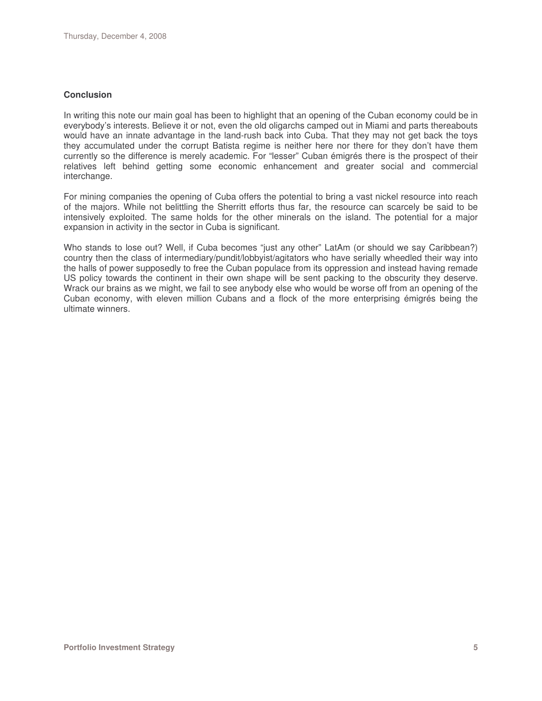#### **Conclusion**

In writing this note our main goal has been to highlight that an opening of the Cuban economy could be in everybody's interests. Believe it or not, even the old oligarchs camped out in Miami and parts thereabouts would have an innate advantage in the land-rush back into Cuba. That they may not get back the toys they accumulated under the corrupt Batista regime is neither here nor there for they don't have them currently so the difference is merely academic. For "lesser" Cuban émigrés there is the prospect of their relatives left behind getting some economic enhancement and greater social and commercial interchange.

For mining companies the opening of Cuba offers the potential to bring a vast nickel resource into reach of the majors. While not belittling the Sherritt efforts thus far, the resource can scarcely be said to be intensively exploited. The same holds for the other minerals on the island. The potential for a major expansion in activity in the sector in Cuba is significant.

Who stands to lose out? Well, if Cuba becomes "just any other" LatAm (or should we say Caribbean?) country then the class of intermediary/pundit/lobbyist/agitators who have serially wheedled their way into the halls of power supposedly to free the Cuban populace from its oppression and instead having remade US policy towards the continent in their own shape will be sent packing to the obscurity they deserve. Wrack our brains as we might, we fail to see anybody else who would be worse off from an opening of the Cuban economy, with eleven million Cubans and a flock of the more enterprising émigrés being the ultimate winners.